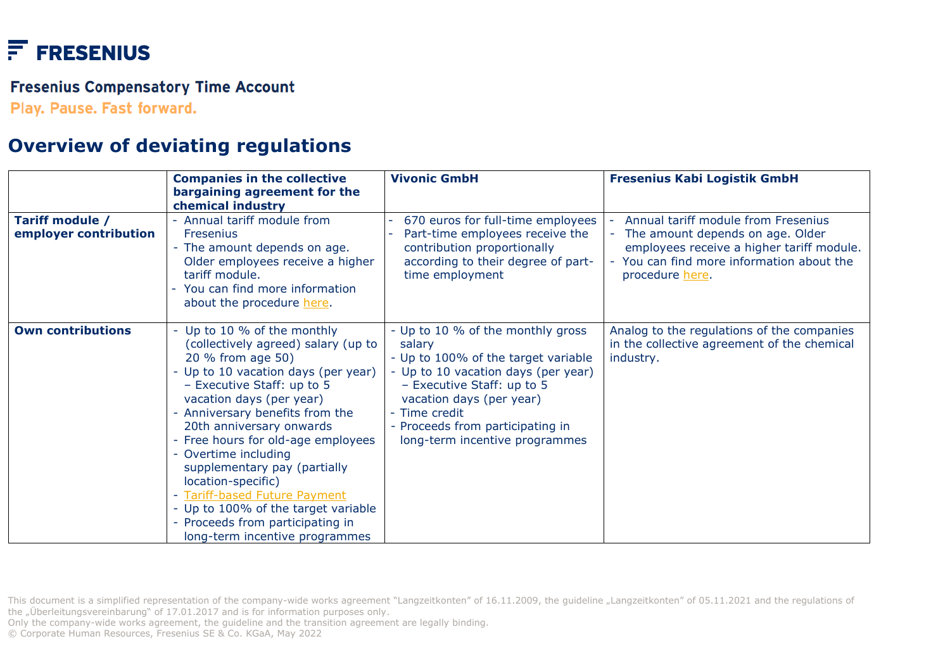# $F$  FRESENIUS

#### **Fresenius Compensatory Time Account**

Play. Pause. Fast forward.

## **Overview of deviating regulations**

|                                          | <b>Companies in the collective</b><br>bargaining agreement for the<br>chemical industry                                                                                                                                                                                                                                                                                                                                                                                                                                    | <b>Vivonic GmbH</b>                                                                                                                                                                                                                                                        | <b>Fresenius Kabi Logistik GmbH</b>                                                                                                                                                |
|------------------------------------------|----------------------------------------------------------------------------------------------------------------------------------------------------------------------------------------------------------------------------------------------------------------------------------------------------------------------------------------------------------------------------------------------------------------------------------------------------------------------------------------------------------------------------|----------------------------------------------------------------------------------------------------------------------------------------------------------------------------------------------------------------------------------------------------------------------------|------------------------------------------------------------------------------------------------------------------------------------------------------------------------------------|
| Tariff module /<br>employer contribution | Annual tariff module from<br><b>Fresenius</b><br>- The amount depends on age.<br>Older employees receive a higher<br>tariff module.<br>You can find more information<br>about the procedure here.                                                                                                                                                                                                                                                                                                                          | 670 euros for full-time employees<br>Part-time employees receive the<br>contribution proportionally<br>according to their degree of part-<br>time employment                                                                                                               | Annual tariff module from Fresenius<br>The amount depends on age. Older<br>employees receive a higher tariff module.<br>You can find more information about the<br>procedure here. |
| <b>Own contributions</b>                 | - Up to 10 % of the monthly<br>(collectively agreed) salary (up to<br>20 % from age 50)<br>- Up to 10 vacation days (per year)<br>- Executive Staff: up to 5<br>vacation days (per year)<br>Anniversary benefits from the<br>20th anniversary onwards<br>- Free hours for old-age employees<br>Overtime including<br>supplementary pay (partially<br>location-specific)<br><b>Tariff-based Future Payment</b><br>- Up to 100% of the target variable<br>- Proceeds from participating in<br>long-term incentive programmes | - Up to 10 % of the monthly gross<br>salary<br>- Up to 100% of the target variable<br>- Up to 10 vacation days (per year)<br>- Executive Staff: up to 5<br>vacation days (per year)<br>- Time credit<br>- Proceeds from participating in<br>long-term incentive programmes | Analog to the regulations of the companies<br>in the collective agreement of the chemical<br>industry.                                                                             |

Only the company-wide works agreement, the guideline and the transition agreement are legally binding.

© Corporate Human Resources, Fresenius SE & Co. KGaA, May 2022

This document is a simplified representation of the company-wide works agreement "Langzeitkonten" of 16.11.2009, the guideline "Langzeitkonten" of 05.11.2021 and the regulations of the "Überleitungsvereinbarung" of 17.01.2017 and is for information purposes only.